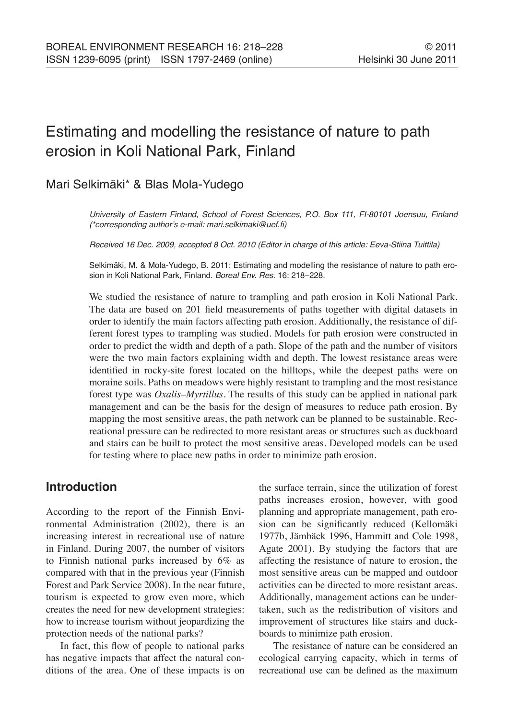# Estimating and modelling the resistance of nature to path erosion in Koli National Park, Finland

# Mari Selkimäki\* & Blas Mola-Yudego

University of Eastern Finland, School of Forest Sciences, P.O. Box 111, FI-80101 Joensuu, Finland (\*corresponding author's e-mail: mari.selkimaki@uef.fi)

Received 16 Dec. 2009, accepted 8 Oct. 2010 (Editor in charge of this article: Eeva-Stiina Tuittila)

Selkimäki, M. & Mola-Yudego, B. 2011: Estimating and modelling the resistance of nature to path erosion in Koli National Park, Finland. Boreal Env. Res. 16: 218–228.

We studied the resistance of nature to trampling and path erosion in Koli National Park. The data are based on 201 field measurements of paths together with digital datasets in order to identify the main factors affecting path erosion. Additionally, the resistance of different forest types to trampling was studied. Models for path erosion were constructed in order to predict the width and depth of a path. Slope of the path and the number of visitors were the two main factors explaining width and depth. The lowest resistance areas were identified in rocky-site forest located on the hilltops, while the deepest paths were on moraine soils. Paths on meadows were highly resistant to trampling and the most resistance forest type was *Oxalis–Myrtillus*. The results of this study can be applied in national park management and can be the basis for the design of measures to reduce path erosion. By mapping the most sensitive areas, the path network can be planned to be sustainable. Recreational pressure can be redirected to more resistant areas or structures such as duckboard and stairs can be built to protect the most sensitive areas. Developed models can be used for testing where to place new paths in order to minimize path erosion.

## **Introduction**

According to the report of the Finnish Environmental Administration (2002), there is an increasing interest in recreational use of nature in Finland. During 2007, the number of visitors to Finnish national parks increased by 6% as compared with that in the previous year (Finnish Forest and Park Service 2008). In the near future, tourism is expected to grow even more, which creates the need for new development strategies: how to increase tourism without jeopardizing the protection needs of the national parks?

In fact, this flow of people to national parks has negative impacts that affect the natural conditions of the area. One of these impacts is on the surface terrain, since the utilization of forest paths increases erosion, however, with good planning and appropriate management, path erosion can be significantly reduced (Kellomäki 1977b, Jämbäck 1996, Hammitt and Cole 1998, Agate 2001). By studying the factors that are affecting the resistance of nature to erosion, the most sensitive areas can be mapped and outdoor activities can be directed to more resistant areas. Additionally, management actions can be undertaken, such as the redistribution of visitors and improvement of structures like stairs and duckboards to minimize path erosion.

The resistance of nature can be considered an ecological carrying capacity, which in terms of recreational use can be defined as the maximum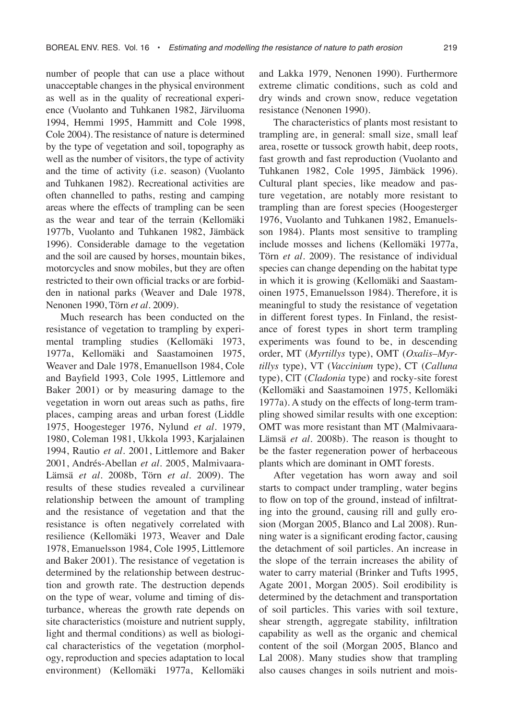number of people that can use a place without unacceptable changes in the physical environment as well as in the quality of recreational experience (Vuolanto and Tuhkanen 1982, Järviluoma 1994, Hemmi 1995, Hammitt and Cole 1998, Cole 2004). The resistance of nature is determined by the type of vegetation and soil, topography as well as the number of visitors, the type of activity and the time of activity (i.e. season) (Vuolanto and Tuhkanen 1982). Recreational activities are often channelled to paths, resting and camping areas where the effects of trampling can be seen as the wear and tear of the terrain (Kellomäki 1977b, Vuolanto and Tuhkanen 1982, Jämbäck 1996). Considerable damage to the vegetation and the soil are caused by horses, mountain bikes, motorcycles and snow mobiles, but they are often restricted to their own official tracks or are forbidden in national parks (Weaver and Dale 1978, Nenonen 1990, Törn *et al*. 2009).

Much research has been conducted on the resistance of vegetation to trampling by experimental trampling studies (Kellomäki 1973, 1977a, Kellomäki and Saastamoinen 1975, Weaver and Dale 1978, Emanuellson 1984, Cole and Bayfield 1993, Cole 1995, Littlemore and Baker 2001) or by measuring damage to the vegetation in worn out areas such as paths, fire places, camping areas and urban forest (Liddle 1975, Hoogesteger 1976, Nylund *et al*. 1979, 1980, Coleman 1981, Ukkola 1993, Karjalainen 1994, Rautio *et al*. 2001, Littlemore and Baker 2001, Andrés-Abellan *et al*. 2005, Malmivaara-Lämsä *et al*. 2008b, Törn *et al*. 2009). The results of these studies revealed a curvilinear relationship between the amount of trampling and the resistance of vegetation and that the resistance is often negatively correlated with resilience (Kellomäki 1973, Weaver and Dale 1978, Emanuelsson 1984, Cole 1995, Littlemore and Baker 2001). The resistance of vegetation is determined by the relationship between destruction and growth rate. The destruction depends on the type of wear, volume and timing of disturbance, whereas the growth rate depends on site characteristics (moisture and nutrient supply, light and thermal conditions) as well as biological characteristics of the vegetation (morphology, reproduction and species adaptation to local environment) (Kellomäki 1977a, Kellomäki

and Lakka 1979, Nenonen 1990). Furthermore extreme climatic conditions, such as cold and dry winds and crown snow, reduce vegetation resistance (Nenonen 1990).

The characteristics of plants most resistant to trampling are, in general: small size, small leaf area, rosette or tussock growth habit, deep roots, fast growth and fast reproduction (Vuolanto and Tuhkanen 1982, Cole 1995, Jämbäck 1996). Cultural plant species, like meadow and pasture vegetation, are notably more resistant to trampling than are forest species (Hoogesterger 1976, Vuolanto and Tuhkanen 1982, Emanuelsson 1984). Plants most sensitive to trampling include mosses and lichens (Kellomäki 1977a, Törn *et al*. 2009). The resistance of individual species can change depending on the habitat type in which it is growing (Kellomäki and Saastamoinen 1975, Emanuelsson 1984). Therefore, it is meaningful to study the resistance of vegetation in different forest types. In Finland, the resistance of forest types in short term trampling experiments was found to be, in descending order, MT (*Myrtillys* type), OMT (*Oxalis–Myrtillys* type), VT (*Vaccinium* type), CT (*Calluna* type), ClT (*Cladonia* type) and rocky-site forest (Kellomäki and Saastamoinen 1975, Kellomäki 1977a). A study on the effects of long-term trampling showed similar results with one exception: OMT was more resistant than MT (Malmivaara-Lämsä *et al*. 2008b). The reason is thought to be the faster regeneration power of herbaceous plants which are dominant in OMT forests.

After vegetation has worn away and soil starts to compact under trampling, water begins to flow on top of the ground, instead of infiltrating into the ground, causing rill and gully erosion (Morgan 2005, Blanco and Lal 2008). Running water is a significant eroding factor, causing the detachment of soil particles. An increase in the slope of the terrain increases the ability of water to carry material (Brinker and Tufts 1995, Agate 2001, Morgan 2005). Soil erodibility is determined by the detachment and transportation of soil particles. This varies with soil texture, shear strength, aggregate stability, infiltration capability as well as the organic and chemical content of the soil (Morgan 2005, Blanco and Lal 2008). Many studies show that trampling also causes changes in soils nutrient and mois-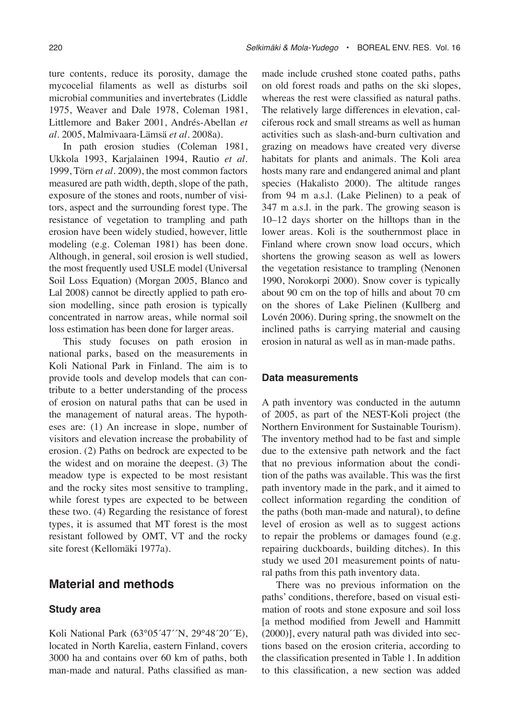ture contents, reduce its porosity, damage the mycocelial filaments as well as disturbs soil microbial communities and invertebrates (Liddle 1975, Weaver and Dale 1978, Coleman 1981, Littlemore and Baker 2001, Andrés-Abellan *et al*. 2005, Malmivaara-Lämsä *et al*. 2008a).

In path erosion studies (Coleman 1981, Ukkola 1993, Karjalainen 1994, Rautio *et al*. 1999, Törn *et al*. 2009), the most common factors measured are path width, depth, slope of the path, exposure of the stones and roots, number of visitors, aspect and the surrounding forest type. The resistance of vegetation to trampling and path erosion have been widely studied, however, little modeling (e.g. Coleman 1981) has been done. Although, in general, soil erosion is well studied, the most frequently used USLE model (Universal Soil Loss Equation) (Morgan 2005, Blanco and Lal 2008) cannot be directly applied to path erosion modelling, since path erosion is typically concentrated in narrow areas, while normal soil loss estimation has been done for larger areas.

This study focuses on path erosion in national parks, based on the measurements in Koli National Park in Finland. The aim is to provide tools and develop models that can contribute to a better understanding of the process of erosion on natural paths that can be used in the management of natural areas. The hypotheses are: (1) An increase in slope, number of visitors and elevation increase the probability of erosion. (2) Paths on bedrock are expected to be the widest and on moraine the deepest. (3) The meadow type is expected to be most resistant and the rocky sites most sensitive to trampling, while forest types are expected to be between these two. (4) Regarding the resistance of forest types, it is assumed that MT forest is the most resistant followed by OMT, VT and the rocky site forest (Kellomäki 1977a).

## **Material and methods**

#### **Study area**

Koli National Park (63°05´47´´N, 29°48´20´´E), located in North Karelia, eastern Finland, covers 3000 ha and contains over 60 km of paths, both man-made and natural. Paths classified as manmade include crushed stone coated paths, paths on old forest roads and paths on the ski slopes, whereas the rest were classified as natural paths. The relatively large differences in elevation, calciferous rock and small streams as well as human activities such as slash-and-burn cultivation and grazing on meadows have created very diverse habitats for plants and animals. The Koli area hosts many rare and endangered animal and plant species (Hakalisto 2000). The altitude ranges from 94 m a.s.l. (Lake Pielinen) to a peak of 347 m a.s.l. in the park. The growing season is 10–12 days shorter on the hilltops than in the lower areas. Koli is the southernmost place in Finland where crown snow load occurs, which shortens the growing season as well as lowers the vegetation resistance to trampling (Nenonen 1990, Norokorpi 2000). Snow cover is typically about 90 cm on the top of hills and about 70 cm on the shores of Lake Pielinen (Kullberg and Lovén 2006). During spring, the snowmelt on the inclined paths is carrying material and causing erosion in natural as well as in man-made paths.

#### **Data measurements**

A path inventory was conducted in the autumn of 2005, as part of the NEST-Koli project (the Northern Environment for Sustainable Tourism). The inventory method had to be fast and simple due to the extensive path network and the fact that no previous information about the condition of the paths was available. This was the first path inventory made in the park, and it aimed to collect information regarding the condition of the paths (both man-made and natural), to define level of erosion as well as to suggest actions to repair the problems or damages found (e.g. repairing duckboards, building ditches). In this study we used 201 measurement points of natural paths from this path inventory data.

There was no previous information on the paths' conditions, therefore, based on visual estimation of roots and stone exposure and soil loss [a method modified from Jewell and Hammitt (2000)], every natural path was divided into sections based on the erosion criteria, according to the classification presented in Table 1. In addition to this classification, a new section was added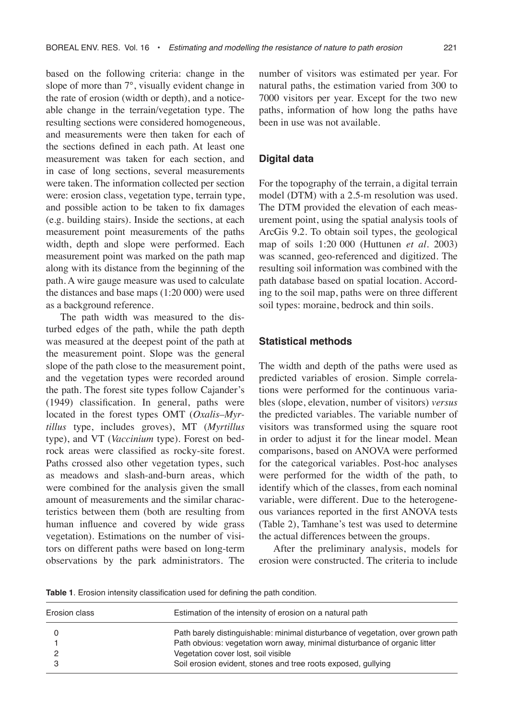based on the following criteria: change in the slope of more than 7°, visually evident change in the rate of erosion (width or depth), and a noticeable change in the terrain/vegetation type. The resulting sections were considered homogeneous, and measurements were then taken for each of the sections defined in each path. At least one measurement was taken for each section, and in case of long sections, several measurements were taken. The information collected per section were: erosion class, vegetation type, terrain type, and possible action to be taken to fix damages (e.g. building stairs). Inside the sections, at each measurement point measurements of the paths width, depth and slope were performed. Each measurement point was marked on the path map along with its distance from the beginning of the path. A wire gauge measure was used to calculate the distances and base maps (1:20 000) were used as a background reference.

The path width was measured to the disturbed edges of the path, while the path depth was measured at the deepest point of the path at the measurement point. Slope was the general slope of the path close to the measurement point, and the vegetation types were recorded around the path. The forest site types follow Cajander's (1949) classification. In general, paths were located in the forest types OMT (*Oxalis–Myrtillus* type, includes groves), MT (*Myrtillus* type), and VT (*Vaccinium* type). Forest on bedrock areas were classified as rocky-site forest. Paths crossed also other vegetation types, such as meadows and slash-and-burn areas, which were combined for the analysis given the small amount of measurements and the similar characteristics between them (both are resulting from human influence and covered by wide grass vegetation). Estimations on the number of visitors on different paths were based on long-term observations by the park administrators. The number of visitors was estimated per year. For natural paths, the estimation varied from 300 to 7000 visitors per year. Except for the two new paths, information of how long the paths have been in use was not available.

#### **Digital data**

For the topography of the terrain, a digital terrain model (DTM) with a 2.5-m resolution was used. The DTM provided the elevation of each measurement point, using the spatial analysis tools of ArcGis 9.2. To obtain soil types, the geological map of soils 1:20 000 (Huttunen *et al*. 2003) was scanned, geo-referenced and digitized. The resulting soil information was combined with the path database based on spatial location. According to the soil map, paths were on three different soil types: moraine, bedrock and thin soils.

#### **Statistical methods**

The width and depth of the paths were used as predicted variables of erosion. Simple correlations were performed for the continuous variables (slope, elevation, number of visitors) *versus* the predicted variables. The variable number of visitors was transformed using the square root in order to adjust it for the linear model. Mean comparisons, based on ANOVA were performed for the categorical variables. Post-hoc analyses were performed for the width of the path, to identify which of the classes, from each nominal variable, were different. Due to the heterogeneous variances reported in the first ANOVA tests (Table 2), Tamhane's test was used to determine the actual differences between the groups.

After the preliminary analysis, models for erosion were constructed. The criteria to include

**Table 1**. Erosion intensity classification used for defining the path condition.

| Erosion class | Estimation of the intensity of erosion on a natural path                        |
|---------------|---------------------------------------------------------------------------------|
|               |                                                                                 |
|               | Path barely distinguishable: minimal disturbance of vegetation, over grown path |
|               | Path obvious: vegetation worn away, minimal disturbance of organic litter       |
|               | Vegetation cover lost, soil visible                                             |
|               | Soil erosion evident, stones and tree roots exposed, gullying                   |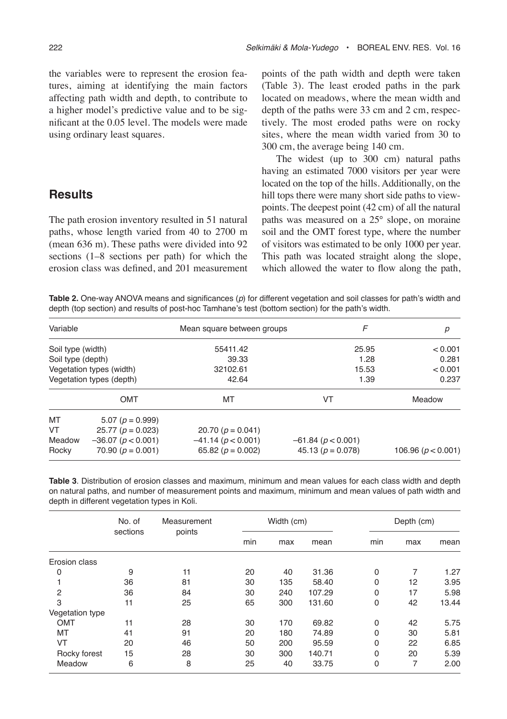the variables were to represent the erosion features, aiming at identifying the main factors affecting path width and depth, to contribute to a higher model's predictive value and to be significant at the 0.05 level. The models were made using ordinary least squares.

## **Results**

The path erosion inventory resulted in 51 natural paths, whose length varied from 40 to 2700 m (mean 636 m). These paths were divided into 92 sections (1–8 sections per path) for which the erosion class was defined, and 201 measurement points of the path width and depth were taken (Table 3). The least eroded paths in the park located on meadows, where the mean width and depth of the paths were 33 cm and 2 cm, respectively. The most eroded paths were on rocky sites, where the mean width varied from 30 to 300 cm, the average being 140 cm.

The widest (up to 300 cm) natural paths having an estimated 7000 visitors per year were located on the top of the hills. Additionally, on the hill tops there were many short side paths to viewpoints. The deepest point (42 cm) of all the natural paths was measured on a 25° slope, on moraine soil and the OMT forest type, where the number of visitors was estimated to be only 1000 per year. This path was located straight along the slope, which allowed the water to flow along the path,

**Table 2.** One-way ANOVA means and significances (p) for different vegetation and soil classes for path's width and depth (top section) and results of post-hoc Tamhane's test (bottom section) for the path's width.

| Variable<br>Soil type (width)<br>Soil type (depth)<br>Vegetation types (width)<br>Vegetation types (depth) |                                                | Mean square between groups | F                     | р                      |  |
|------------------------------------------------------------------------------------------------------------|------------------------------------------------|----------------------------|-----------------------|------------------------|--|
|                                                                                                            |                                                | 55411.42                   | 25.95                 | < 0.001                |  |
|                                                                                                            |                                                | 39.33                      | 1.28                  | 0.281                  |  |
|                                                                                                            |                                                | 32102.61                   | 15.53                 | < 0.001                |  |
|                                                                                                            |                                                | 42.64<br>1.39              |                       | 0.237                  |  |
|                                                                                                            | <b>OMT</b>                                     | MT                         | VT                    | Meadow                 |  |
| MT                                                                                                         | $5.07(p = 0.999)$                              |                            |                       |                        |  |
| VT                                                                                                         | $25.77(p = 0.023)$                             | 20.70 ( $p = 0.041$ )      |                       |                        |  |
| Meadow                                                                                                     | $-36.07$ ( $p < 0.001$ )                       | $-41.14(p<0.001)$          | $-61.84 (p < 0.001)$  |                        |  |
| Rocky                                                                                                      | 70.90 ( $p = 0.001$ )<br>65.82 ( $p = 0.002$ ) |                            | 45.13 ( $p = 0.078$ ) | 106.96 ( $p < 0.001$ ) |  |

**Table 3**. Distribution of erosion classes and maximum, minimum and mean values for each class width and depth on natural paths, and number of measurement points and maximum, minimum and mean values of path width and depth in different vegetation types in Koli.

|                 | No. of<br>sections | Measurement<br>points | Width (cm) |     |        | Depth (cm)  |     |       |
|-----------------|--------------------|-----------------------|------------|-----|--------|-------------|-----|-------|
|                 |                    |                       | min        | max | mean   | min         | max | mean  |
| Erosion class   |                    |                       |            |     |        |             |     |       |
| 0               | 9                  | 11                    | 20         | 40  | 31.36  | 0           | 7   | 1.27  |
|                 | 36                 | 81                    | 30         | 135 | 58.40  | $\Omega$    | 12  | 3.95  |
| $\overline{2}$  | 36                 | 84                    | 30         | 240 | 107.29 | 0           | 17  | 5.98  |
| 3               | 11                 | 25                    | 65         | 300 | 131.60 | 0           | 42  | 13.44 |
| Vegetation type |                    |                       |            |     |        |             |     |       |
| <b>OMT</b>      | 11                 | 28                    | 30         | 170 | 69.82  | 0           | 42  | 5.75  |
| MT              | 41                 | 91                    | 20         | 180 | 74.89  | $\Omega$    | 30  | 5.81  |
| VT              | 20                 | 46                    | 50         | 200 | 95.59  | $\Omega$    | 22  | 6.85  |
| Rocky forest    | 15                 | 28                    | 30         | 300 | 140.71 | $\Omega$    | 20  | 5.39  |
| Meadow          | 6                  | 8                     | 25         | 40  | 33.75  | $\mathbf 0$ | 7   | 2.00  |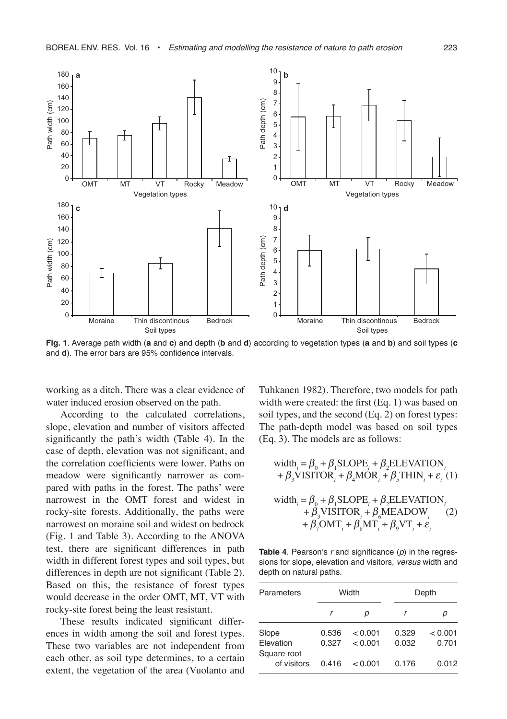

**Fig. 1**. Average path width (**a** and **c**) and depth (**b** and **d**) according to vegetation types (**a** and **b**) and soil types (**c** and **d**). The error bars are 95% confidence intervals.

working as a ditch. There was a clear evidence of water induced erosion observed on the path.

According to the calculated correlations, slope, elevation and number of visitors affected significantly the path's width (Table 4). In the case of depth, elevation was not significant, and the correlation coefficients were lower. Paths on meadow were significantly narrower as compared with paths in the forest. The paths' were narrowest in the OMT forest and widest in rocky-site forests. Additionally, the paths were narrowest on moraine soil and widest on bedrock (Fig. 1 and Table 3). According to the ANOVA test, there are significant differences in path width in different forest types and soil types, but differences in depth are not significant (Table 2). Based on this, the resistance of forest types would decrease in the order OMT, MT, VT with rocky-site forest being the least resistant.

These results indicated significant differences in width among the soil and forest types. These two variables are not independent from each other, as soil type determines, to a certain extent, the vegetation of the area (Vuolanto and Tuhkanen 1982). Therefore, two models for path width were created: the first (Eq. 1) was based on soil types, and the second (Eq. 2) on forest types: The path-depth model was based on soil types (Eq. 3). The models are as follows:

width<sub>i</sub> = 
$$
\beta_0 + \beta_1
$$
SLOPE<sub>i</sub> +  $\beta_2$ ELEVATION<sub>i</sub>  
+  $\beta_3$ VISTTOR<sub>i</sub> +  $\beta_4$ MOR<sub>i</sub> +  $\beta_5$ THIN<sub>i</sub> +  $\varepsilon_i$  (1)

width<sub>i</sub> = 
$$
\beta_0 + \beta_1
$$
SLOPE<sub>i</sub> +  $\beta_2$ ELEVATION<sub>i</sub>  
+  $\beta_3$ VISITOR<sub>i</sub> +  $\beta_6$ MEADOW<sub>i</sub> (2)  
+  $\beta_7$ OMT<sub>i</sub> +  $\beta_8$ MT<sub>i</sub> +  $\beta_9$ VT<sub>i</sub> +  $\varepsilon_i$ 

**Table 4.** Pearson's  $r$  and significance  $(p)$  in the regressions for slope, elevation and visitors, versus width and depth on natural paths.

| Parameters                        |                | Width              | Depth          |                  |  |  |
|-----------------------------------|----------------|--------------------|----------------|------------------|--|--|
|                                   |                | р                  |                | р                |  |  |
| Slope<br>Elevation<br>Square root | 0.536<br>0.327 | < 0.001<br>< 0.001 | 0.329<br>0.032 | < 0.001<br>0.701 |  |  |
| of visitors                       | 0416           | < 0.001            | 0.176          | 0.012            |  |  |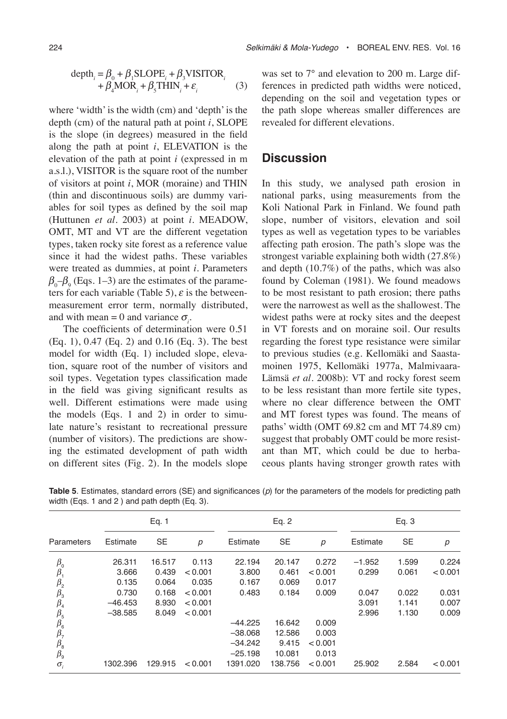$$
\text{depth}_{i} = \beta_{0} + \beta_{1} \text{SLOPE}_{i} + \beta_{3} \text{VISTTOR}_{i} + \beta_{4} \text{MOR}_{i} + \beta_{5} \text{THIN}_{i} + \varepsilon_{i}
$$
 (3)

where 'width' is the width (cm) and 'depth' is the depth (cm) of the natural path at point *i*, SLOPE is the slope (in degrees) measured in the field along the path at point *i*, ELEVATION is the elevation of the path at point *i* (expressed in m a.s.l.), VISITOR is the square root of the number of visitors at point *i*, MOR (moraine) and THIN (thin and discontinuous soils) are dummy variables for soil types as defined by the soil map (Huttunen *et al*. 2003) at point *i*. MEADOW, OMT, MT and VT are the different vegetation types, taken rocky site forest as a reference value since it had the widest paths. These variables were treated as dummies, at point *i*. Parameters  $\beta_0$ – $\beta_9$  (Eqs. 1–3) are the estimates of the parameters for each variable (Table 5),  $\varepsilon$  is the betweenmeasurement error term, normally distributed, and with mean = 0 and variance  $\sigma_i$ .

The coefficients of determination were 0.51 (Eq. 1), 0.47 (Eq. 2) and 0.16 (Eq. 3). The best model for width (Eq. 1) included slope, elevation, square root of the number of visitors and soil types. Vegetation types classification made in the field was giving significant results as well. Different estimations were made using the models (Eqs. 1 and 2) in order to simulate nature's resistant to recreational pressure (number of visitors). The predictions are showing the estimated development of path width on different sites (Fig. 2). In the models slope

was set to 7° and elevation to 200 m. Large differences in predicted path widths were noticed, depending on the soil and vegetation types or the path slope whereas smaller differences are revealed for different elevations.

## **Discussion**

In this study, we analysed path erosion in national parks, using measurements from the Koli National Park in Finland. We found path slope, number of visitors, elevation and soil types as well as vegetation types to be variables affecting path erosion. The path's slope was the strongest variable explaining both width (27.8%) and depth (10.7%) of the paths, which was also found by Coleman (1981). We found meadows to be most resistant to path erosion; there paths were the narrowest as well as the shallowest. The widest paths were at rocky sites and the deepest in VT forests and on moraine soil. Our results regarding the forest type resistance were similar to previous studies (e.g. Kellomäki and Saastamoinen 1975, Kellomäki 1977a, Malmivaara-Lämsä *et al*. 2008b): VT and rocky forest seem to be less resistant than more fertile site types, where no clear difference between the OMT and MT forest types was found. The means of paths' width (OMT 69.82 cm and MT 74.89 cm) suggest that probably OMT could be more resistant than MT, which could be due to herbaceous plants having stronger growth rates with

|                                              | Eq. 1     |           |                  | Eq. 2     |           |         | Eq. 3    |           |         |
|----------------------------------------------|-----------|-----------|------------------|-----------|-----------|---------|----------|-----------|---------|
| Parameters                                   | Estimate  | <b>SE</b> | $\boldsymbol{p}$ | Estimate  | <b>SE</b> | p       | Estimate | <b>SE</b> | p       |
| $\beta_{0}$                                  | 26.311    | 16.517    | 0.113            | 22.194    | 20.147    | 0.272   | $-1.952$ | 1.599     | 0.224   |
| $\beta_1$                                    | 3.666     | 0.439     | < 0.001          | 3.800     | 0.461     | < 0.001 | 0.299    | 0.061     | < 0.001 |
| $\beta_{2}$                                  | 0.135     | 0.064     | 0.035            | 0.167     | 0.069     | 0.017   |          |           |         |
|                                              | 0.730     | 0.168     | < 0.001          | 0.483     | 0.184     | 0.009   | 0.047    | 0.022     | 0.031   |
| $\overline{\beta_3}$<br>$\overline{\beta_4}$ | $-46.453$ | 8.930     | < 0.001          |           |           |         | 3.091    | 1.141     | 0.007   |
|                                              | $-38.585$ | 8.049     | < 0.001          |           |           |         | 2.996    | 1.130     | 0.009   |
| $\frac{\beta_5}{\beta_6}$                    |           |           |                  | $-44.225$ | 16.642    | 0.009   |          |           |         |
| $\beta_{7}$                                  |           |           |                  | $-38.068$ | 12.586    | 0.003   |          |           |         |
|                                              |           |           |                  | $-34.242$ | 9.415     | < 0.001 |          |           |         |
| $\frac{\beta_8}{\beta_9}$                    |           |           |                  | $-25.198$ | 10.081    | 0.013   |          |           |         |
| $\sigma_i$                                   | 1302.396  | 129.915   | < 0.001          | 1391.020  | 138.756   | < 0.001 | 25.902   | 2.584     | < 0.001 |

**Table 5**. Estimates, standard errors (SE) and significances (p) for the parameters of the models for predicting path width (Eqs. 1 and 2 ) and path depth (Eq. 3).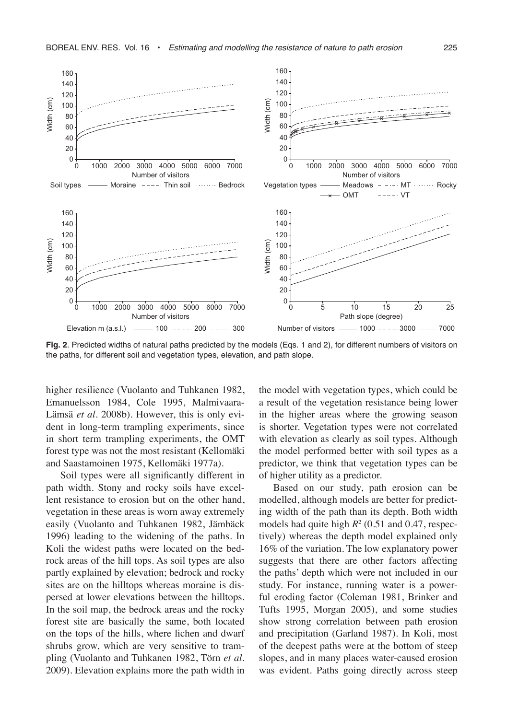

**Fig. 2**. Predicted widths of natural paths predicted by the models (Eqs. 1 and 2), for different numbers of visitors on the paths, for different soil and vegetation types, elevation, and path slope.

higher resilience (Vuolanto and Tuhkanen 1982, Emanuelsson 1984, Cole 1995, Malmivaara-Lämsä *et al*. 2008b). However, this is only evident in long-term trampling experiments, since in short term trampling experiments, the OMT forest type was not the most resistant (Kellomäki and Saastamoinen 1975, Kellomäki 1977a).

Soil types were all significantly different in path width. Stony and rocky soils have excellent resistance to erosion but on the other hand, vegetation in these areas is worn away extremely easily (Vuolanto and Tuhkanen 1982, Jämbäck 1996) leading to the widening of the paths. In Koli the widest paths were located on the bedrock areas of the hill tops. As soil types are also partly explained by elevation; bedrock and rocky sites are on the hilltops whereas moraine is dispersed at lower elevations between the hilltops. In the soil map, the bedrock areas and the rocky forest site are basically the same, both located on the tops of the hills, where lichen and dwarf shrubs grow, which are very sensitive to trampling (Vuolanto and Tuhkanen 1982, Törn *et al*. 2009). Elevation explains more the path width in

the model with vegetation types, which could be a result of the vegetation resistance being lower in the higher areas where the growing season is shorter. Vegetation types were not correlated with elevation as clearly as soil types. Although the model performed better with soil types as a predictor, we think that vegetation types can be of higher utility as a predictor.

Based on our study, path erosion can be modelled, although models are better for predicting width of the path than its depth. Both width models had quite high *R*<sup>2</sup> (0.51 and 0.47, respectively) whereas the depth model explained only 16% of the variation. The low explanatory power suggests that there are other factors affecting the paths' depth which were not included in our study. For instance, running water is a powerful eroding factor (Coleman 1981, Brinker and Tufts 1995, Morgan 2005), and some studies show strong correlation between path erosion and precipitation (Garland 1987). In Koli, most of the deepest paths were at the bottom of steep slopes, and in many places water-caused erosion was evident. Paths going directly across steep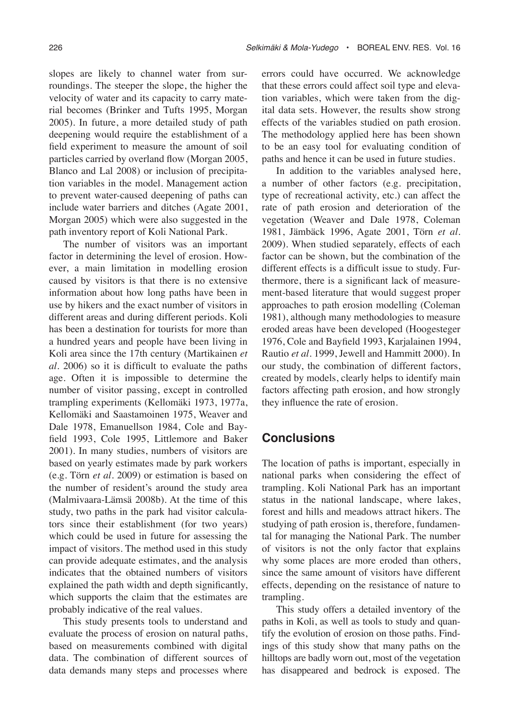slopes are likely to channel water from surroundings. The steeper the slope, the higher the velocity of water and its capacity to carry material becomes (Brinker and Tufts 1995, Morgan 2005). In future, a more detailed study of path deepening would require the establishment of a field experiment to measure the amount of soil particles carried by overland flow (Morgan 2005, Blanco and Lal 2008) or inclusion of precipitation variables in the model. Management action to prevent water-caused deepening of paths can include water barriers and ditches (Agate 2001, Morgan 2005) which were also suggested in the path inventory report of Koli National Park.

The number of visitors was an important factor in determining the level of erosion. However, a main limitation in modelling erosion caused by visitors is that there is no extensive information about how long paths have been in use by hikers and the exact number of visitors in different areas and during different periods. Koli has been a destination for tourists for more than a hundred years and people have been living in Koli area since the 17th century (Martikainen *et al*. 2006) so it is difficult to evaluate the paths age. Often it is impossible to determine the number of visitor passing, except in controlled trampling experiments (Kellomäki 1973, 1977a, Kellomäki and Saastamoinen 1975, Weaver and Dale 1978, Emanuellson 1984, Cole and Bayfield 1993, Cole 1995, Littlemore and Baker 2001). In many studies, numbers of visitors are based on yearly estimates made by park workers (e.g. Törn *et al*. 2009) or estimation is based on the number of resident's around the study area (Malmivaara-Lämsä 2008b). At the time of this study, two paths in the park had visitor calculators since their establishment (for two years) which could be used in future for assessing the impact of visitors. The method used in this study can provide adequate estimates, and the analysis indicates that the obtained numbers of visitors explained the path width and depth significantly, which supports the claim that the estimates are probably indicative of the real values.

This study presents tools to understand and evaluate the process of erosion on natural paths, based on measurements combined with digital data. The combination of different sources of data demands many steps and processes where

errors could have occurred. We acknowledge that these errors could affect soil type and elevation variables, which were taken from the digital data sets. However, the results show strong effects of the variables studied on path erosion. The methodology applied here has been shown to be an easy tool for evaluating condition of paths and hence it can be used in future studies.

In addition to the variables analysed here, a number of other factors (e.g. precipitation, type of recreational activity, etc.) can affect the rate of path erosion and deterioration of the vegetation (Weaver and Dale 1978, Coleman 1981, Jämbäck 1996, Agate 2001, Törn *et al*. 2009). When studied separately, effects of each factor can be shown, but the combination of the different effects is a difficult issue to study. Furthermore, there is a significant lack of measurement-based literature that would suggest proper approaches to path erosion modelling (Coleman 1981), although many methodologies to measure eroded areas have been developed (Hoogesteger 1976, Cole and Bayfield 1993, Karjalainen 1994, Rautio *et al*. 1999, Jewell and Hammitt 2000). In our study, the combination of different factors, created by models, clearly helps to identify main factors affecting path erosion, and how strongly they influence the rate of erosion.

## **Conclusions**

The location of paths is important, especially in national parks when considering the effect of trampling. Koli National Park has an important status in the national landscape, where lakes, forest and hills and meadows attract hikers. The studying of path erosion is, therefore, fundamental for managing the National Park. The number of visitors is not the only factor that explains why some places are more eroded than others, since the same amount of visitors have different effects, depending on the resistance of nature to trampling.

This study offers a detailed inventory of the paths in Koli, as well as tools to study and quantify the evolution of erosion on those paths. Findings of this study show that many paths on the hilltops are badly worn out, most of the vegetation has disappeared and bedrock is exposed. The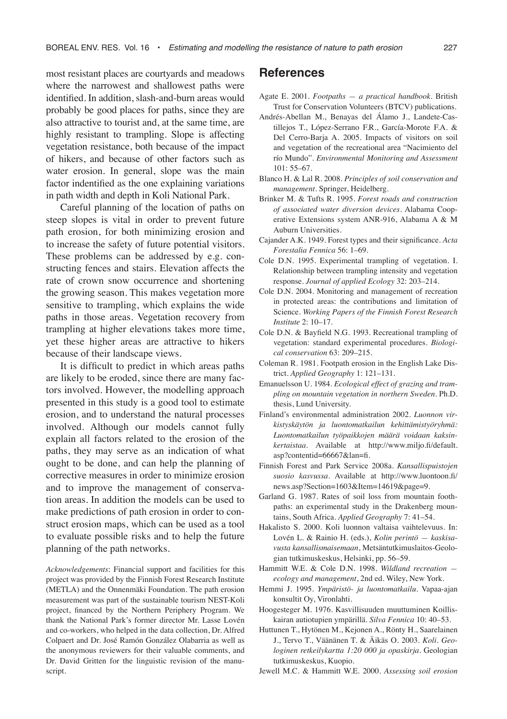most resistant places are courtyards and meadows where the narrowest and shallowest paths were identified. In addition, slash-and-burn areas would probably be good places for paths, since they are also attractive to tourist and, at the same time, are highly resistant to trampling. Slope is affecting vegetation resistance, both because of the impact of hikers, and because of other factors such as water erosion. In general, slope was the main factor indentified as the one explaining variations in path width and depth in Koli National Park.

Careful planning of the location of paths on steep slopes is vital in order to prevent future path erosion, for both minimizing erosion and to increase the safety of future potential visitors. These problems can be addressed by e.g. constructing fences and stairs. Elevation affects the rate of crown snow occurrence and shortening the growing season. This makes vegetation more sensitive to trampling, which explains the wide paths in those areas. Vegetation recovery from trampling at higher elevations takes more time, yet these higher areas are attractive to hikers because of their landscape views.

It is difficult to predict in which areas paths are likely to be eroded, since there are many factors involved. However, the modelling approach presented in this study is a good tool to estimate erosion, and to understand the natural processes involved. Although our models cannot fully explain all factors related to the erosion of the paths, they may serve as an indication of what ought to be done, and can help the planning of corrective measures in order to minimize erosion and to improve the management of conservation areas. In addition the models can be used to make predictions of path erosion in order to construct erosion maps, which can be used as a tool to evaluate possible risks and to help the future planning of the path networks.

*Acknowledgements*: Financial support and facilities for this project was provided by the Finnish Forest Research Institute (METLA) and the Onnenmäki Foundation. The path erosion measurement was part of the sustainable tourism NEST-Koli project, financed by the Northern Periphery Program. We thank the National Park's former director Mr. Lasse Lovén and co-workers, who helped in the data collection, Dr. Alfred Colpaert and Dr. José Ramón González Olabarria as well as the anonymous reviewers for their valuable comments, and Dr. David Gritten for the linguistic revision of the manuscript.

## **References**

- Agate E. 2001. *Footpaths a practical handbook*. British Trust for Conservation Volunteers (BTCV) publications.
- Andrés-Abellan M., Benayas del Álamo J., Landete-Castillejos T., López-Serrano F.R., García-Morote F.A. & Del Cerro-Barja A. 2005. Impacts of visitors on soil and vegetation of the recreational area "Nacimiento del río Mundo". *Environmental Monitoring and Assessment* 101: 55–67.
- Blanco H. & Lal R. 2008. *Principles of soil conservation and management*. Springer, Heidelberg.
- Brinker M. & Tufts R. 1995. *Forest roads and construction of associated water diversion devices*. Alabama Cooperative Extensions system ANR-916, Alabama A & M Auburn Universities.
- Cajander A.K. 1949. Forest types and their significance. *Acta Forestalia Fennica* 56: 1–69.
- Cole D.N. 1995. Experimental trampling of vegetation. I. Relationship between trampling intensity and vegetation response. *Journal of applied Ecology* 32: 203–214.
- Cole D.N. 2004. Monitoring and management of recreation in protected areas: the contributions and limitation of Science. *Working Papers of the Finnish Forest Research Institute* 2: 10–17.
- Cole D.N. & Bayfield N.G. 1993. Recreational trampling of vegetation: standard experimental procedures. *Biological conservation* 63: 209–215.
- Coleman R. 1981. Footpath erosion in the English Lake District. *Applied Geography* 1: 121–131.
- Emanuelsson U. 1984. *Ecological effect of grazing and trampling on mountain vegetation in northern Sweden*. Ph.D. thesis, Lund University.
- Finland's environmental administration 2002. *Luonnon virkistyskäytön ja luontomatkailun kehittämistyöryhmä: Luontomatkailun työpaikkojen määrä voidaan kaksinkertaistaa*. Available at http://www.miljo.fi/default. asp?contentid=66667&lan=fi.
- Finnish Forest and Park Service 2008a. *Kansallispuistojen suosio kasvussa*. Available at http://www.luontoon.fi/ news.asp?Section=1603&Item=14619&page=9.
- Garland G. 1987. Rates of soil loss from mountain foothpaths: an experimental study in the Drakenberg mountains, South Africa. *Applied Geography* 7: 41–54.
- Hakalisto S. 2000. Koli luonnon valtaisa vaihtelevuus. In: Lovén L. & Rainio H. (eds.), *Kolin perintö — kaskisavusta kansallismaisemaan*, Metsäntutkimuslaitos-Geologian tutkimuskeskus, Helsinki, pp. 56–59.
- Hammitt W.E. & Cole D.N. 1998. *Wildland recreation ecology and management*, 2nd ed. Wiley, New York.
- Hemmi J. 1995. *Ympäristö- ja luontomatkailu*. Vapaa-ajan konsultit Oy, Vironlahti.
- Hoogesteger M. 1976. Kasvillisuuden muuttuminen Koilliskairan autiotupien ympärillä. *Silva Fennica* 10: 40–53.
- Huttunen T., Hytönen M., Kejonen A., Rönty H., Saarelainen J., Tervo T., Väänänen T. & Äikäs O. 2003. *Koli. Geologinen retkeilykartta 1:20 000 ja opaskirja*. Geologian tutkimuskeskus, Kuopio.
- Jewell M.C. & Hammitt W.E. 2000. *Assessing soil erosion*